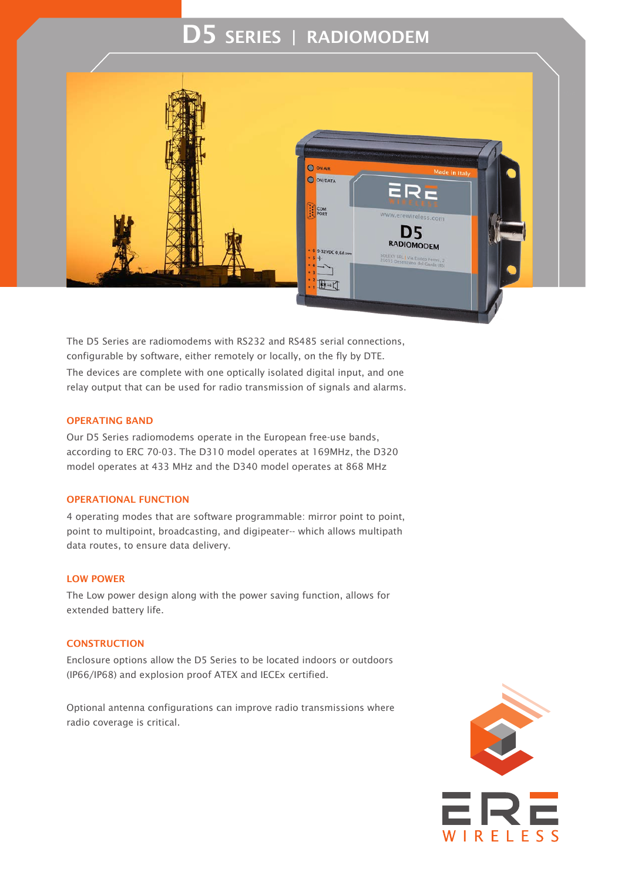# D5 SERIES | RADIOMODEM



The D5 Series are radiomodems with RS232 and RS485 serial connections, configurable by software, either remotely or locally, on the fly by DTE. The devices are complete with one optically isolated digital input, and one relay output that can be used for radio transmission of signals and alarms.

#### OPERATING BAND

Our D5 Series radiomodems operate in the European free-use bands, according to ERC 70-03. The D310 model operates at 169MHz, the D320 model operates at 433 MHz and the D340 model operates at 868 MHz

#### OPERATIONAL FUNCTION

4 operating modes that are software programmable: mirror point to point, point to multipoint, broadcasting, and digipeater-- which allows multipath data routes, to ensure data delivery.

#### LOW POWER

The Low power design along with the power saving function, allows for extended battery life.

## **CONSTRUCTION**

Enclosure options allow the D5 Series to be located indoors or outdoors (IP66/IP68) and explosion proof ATEX and IECEx certified.

Optional antenna configurations can improve radio transmissions where radio coverage is critical.